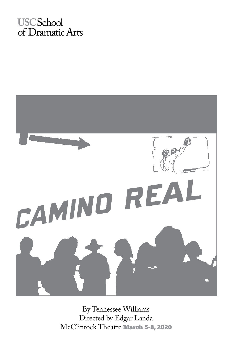# **USCSchool** of Dramatic Arts



By Tennessee Williams Directed by Edgar Landa McClintock Theatre March 5-8, 2020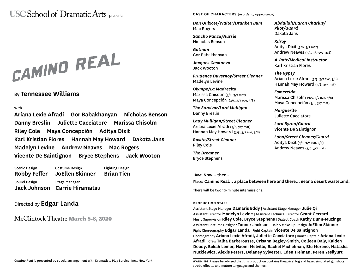# USC School of Dramatic Arts presents

# CAMINO REAL

## By **Tennessee Williams**

**With** 

**Ariana Lexie Afradi Gor Babakhanyan Nicholas Benson Danny Breslin Juliette Cacciatore Marissa Chisolm Riley Cole Maya Concepción Aditya Dixit Karl Kristian Flores Hannah May Howard Dakota Jans Madelyn Levine Andrew Neaves Mac Rogers Vicente De Saintignon Bryce Stephens Jack Wooton**

Sound Design **Jack Johnson Carrie Hiramatsu** Stage Manager Scenic Design **Robby Feffer** Costume Design **JoEllen Skinner** Lighting Design **Brian Tien**

# Directed by **Edgar Landa**

McClintock Theatre March 5-8, 2020

#### **CAST OF CHARACTERS** *(in order of appearance)*

*Don Quixote/Waiter/Drunken Bum* Mac Rogers

*Sancho Panza/Nursie* Nicholas Benson

*Gutman* Gor Babakhanyan

*Jacques Casanova* Jack Wooton

*Prudence Duvernoy/Street Cleaner* Madelyn Levine

*Olympe/La Madrecita* Marissa Chisolm (3/6, 3/7 mat) Maya Concepción (3/5, 3/7 eve, 3/8)

*The Survivor/Lord Mulligan* Danny Breslin

*Lady Mulligan/Street Cleaner* Ariana Lexie Afradi (3/6, 3/7 mat) Hannah May Howard (3/5, 3/7 eve, 3/8)

*Rosita/Street Cleaner* Riley Cole

*The Dreamer* Bryce Stephens *Abdullah/Baron Charlus/ Pilot/Guard* Dakota Jans

*Kilroy* Aditya Dixit (3/6, 3/7 mat) Andrew Neaves (3/5, 3/7 eve, 3/8)

*A.Ratt/Medical Instructor* Karl Kristian Flores

*The Gypsy* Ariana Lexie Afradi (3/5, 3/7 eve, 3/8) Hannah May Howard (3/6, 3/7 mat)

*Esmerelda* Marissa Chisolm (3/5, 3/7 eve, 3/8) Maya Concepción (3/6, 3/7 mat)

*Marguerite* Juliette Cacciatore

*Lord Byron/Guard* Vicente De Saintignon

*Lobo/Street Cleaner/Guard* Aditya Dixit (3/5, 3/7 eve, 3/8) Andrew Neaves (3/6, 3/7 mat)

Time: **Now... then...**

Place: **Camino Real... a place between here and there... near a desert wasteland.**

There will be two 10-minute intermissions.

#### **PRODUCTION STAFF**

Assistant Stage Manager **Damaris Eddy** | Assistant Stage Manager **Julie Qi** Assistant Director **Madelyn Levine** | Assistant Technical Director **Grant Gerrard** Music Supervision **Riley Cole, Bryce Stephens** | Dialect Coach **Kathy Dunn-Muzingo** Assistant Costume Designer **Tanner Jackson** | Hair & Make-up Design **JoEllen Skinner** Fight Choreography **Edgar Landa** | Fight Captain **Vicente De Saintignon** Choreography **Ariana Lexie Afradi, Juliette Cacciatore** | Dance Captain **Ariana Lexie Afradi** | Crew **Talha Barberousse, Crisann Begley-Smith, Colleen Daly, Kaiden Doody, Bekah Lemer, Naomi Melville, Rachel Michelman, Blu Moreno, Natasha Nutkiewicz, Alexis Peters, Delaney Sylvester, Eden Treiman, Peren Yesilyurt**

**WARNING** Please be advised that this production contains theatrical fog and haze, simulated gunshots, strobe effects, and mature languages and themes.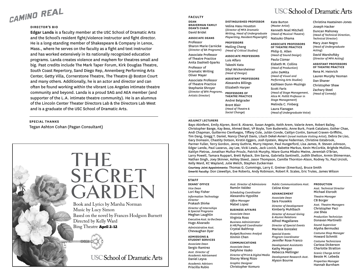

#### **DIRECTOR'S BIO**

**Edgar Landa** is a faculty member at the USC School of Dramatic Arts and the School's resident fight/violence instructor and fight director. He is a long-standing member of Shakespeare & Company in Lenox, Mass., where he serves on the faculty as a fight and text instructor and has worked extensively in its nationally recognized education programs. Landa creates violence and mayhem for theatres small and big. Past credits include The Mark Taper Forum, Kirk Douglas Theatre, South Coast Repertory, Sand Diego Rep, Annenberg Performing Arts Center, Getty Villa, Cornerstone Theatre, The Theatre @ Boston Court and many others. Additionally, he is an actor and director and can often be found working within the vibrant Los Angeles intimate theatre community and beyond. Landa is a proud SAG and AEA member (and supporter of the L.A. intimate theatre community). He is an alumnus of the Lincoln Center Theater Directors Lab & the Directors Lab West and is a graduate of the USC School of Dramatic Arts.

#### **SPECIAL THANKS**

Tegan Ashton Cohan (Pagan Consultant)



#### **FACULTY**

**DEAN BRAVERMAN FAMILY DEAN'S CHAIR** David Bridel **ASSOCIATE DEANS**

Professor Sharon Marie Carnicke (*Director of BA Programs*) Associate Professor of Theatre Practice Anita Dashiell-Sparks

Professor of Dramatic Writing Oliver Mayer Associate Professor of Theatre Practice Stephanie Shroyer (*Director of BFA Programs, Artistic Director*)

**PROFESSORS OF THEATRE PRACTICE** Andrei Belgrader Brent Blair (*Head of Theatre & Social Change*)

Velina Hasu Houston (*Director of MFA Dramatic Writing, Head of Undergraduate Playwriting, Resident Playwright*)

**PROFESSORS** Meiling Cheng *(Head of Critical Studies)*

**ASSOCIATE PROFESSORS** Luis Alfaro

#### Takeshi Kata Sibyl Wickersheimer *(Head of Design)*

#### **ASSISTANT PROFESSORS** Alexandra Billings

Elizabeth Harper

**DISTINGUISHED PROFESSOR** Kate Burton (*Master Artist*) Kenneth Noel Mitchell (*Head of Musical Theatre*) Natsuko Ohama

> **OF THEATRE PRACTICE** Philip G. Allen (*Head of Sound Design*) Paula Cizmar Elsbeth M. Collins (*Head of Production*) John DeMita (*Head of Visual and Performing Arts Studies*) Kathleen Dunn-Muzingo Scott Faris (*Head of Stage Management, Alice M. Pollitt Professor in Stage Management*) Melinda C. Finberg

(*Head of Undergraduate Voice*)

Laura Flanagan

#### Christina Haatainen-Jones Joseph Hacker Duncan Mahoney (*Head of Technical Direction, Technical Director*) Mary Joan Negro

(*Head of Undergraduate* 

(*Director of MFA Acting*) **ASSISTANT PROFESSORS OF THEATRE PRACTICE** Rena M. Heinrich Lauren Murphy Yeoman Dan Shaner Christopher Shaw Zachary Steel

*(Head of Comedy*)

#### **ADJUNCT LECTURERS**

Bayo Akinfemi, Emily Alpren, Boni B. Alvarez, Susan Angelo, Keith Arem, Valerie Arem, Robert Bailey, Christopher Bange, Kay Bess, Ahmed Best, VP Boyle, Tom Buderwitz, Anne Burk, Frank Catalano, Esther Chae, Andi Chapman, Guillermo Cienfuegos, Tiffany Cole, Julián Conde, Caitlyn Conlin, Samuel Craven-Griffiths, Tim Dang, Gregg T. Daniel, Nancy Cheryll Davis, Lilach Dekel-Avneri (*Israel Institute Visiting Artist*), Debra De Liso, Gary Domasin, Chastity Dotson, Kirstin Eggers, Josh Epstein, Wayne Federman, Christine Estabrook, Parmer Fuller, Terry Gordon, Jenny Guthrie, Murry Hepner, Paul Hungerford, Lisa James, R. Steven Johnson, Edgar Landa, Paul Lazarus, Jay Lee, Vicki Lewis, Jack Lovick, Babette Markus, Kevin McCorkle, Brighde Mullins, Kaitlyn Pietras, Jonathan Muñoz-Proulx, Patrick Murphy, Ntare Guma Mbaho Mwine, Jeremiah O'Brian, Larry Powell, Tamara Ruppart, Brett Ryback, Sim Sarna, Gabriella Santinelli, Judith Shelton, Armin Shimerman, Nathan Singh, Joey Skinner, Ashley Steed, Jason Thompson, Camille Thornton-Alson, Rodney To, Paul Urcioli, Kelly Ward, KC Wayland, Julie Welch, Stephen Zuckerman

**Courtesy Joint Appointments:** Thomas G. Cummings, Larry E. Greiner (Emeritus), Bruce Smith **Emeriti Faculty:** Don Llewellyn, Eve Roberts, Andy Robinson, Robert R. Scales, Eric Trules, James Wilson

#### **DEANS' OFFICE** *Vice Dean* Lori Ray Fisher *Information Technology Director* Prakash Shirke *Director of Internships & Special Programs*  Meghan Laughlin *ExecutiveAsst.to theDean* Hugo Alvarado *Administrative Asst.* Chevaughan Dyer **ADMISSIONS & STUDENT SERVICES** *Associate Dean* Sergio Ramirez *Asst. Director of Academic Advisement*  Daniel Leyva *Asst. Director of Admissions* Ramón Valdez *Scheduling Coordinator* Alexandra Hypolite *Office Manager* Mabel Lopez **BUSINESS AFFAIRS** *Associate Dean* Virginia Ross *Business Administrator & HR/Payroll Coordinator* Crystal Balthrop *Budget/Business Analyst* Xinmin Chen **COMMUNICATIONS** *Associate Dean* Delphine Vasko *Director of Print & Digital Media* Stacey Wang Rizzo *Graphic Designer* Christopher Komuro *Public Communications Asst.* Celine Kiner **ADVANCEMENT** *Associate Dean* Sara Fousekis *Director of Development* Kimberly Muhlbach *Director of Annual Giving & Alumni Relations* Alfred Magallanes *Director of Special Events* Marissa Gonzalez *Special Events Program Coordinator* Jennifer Rose Franco *Development Assistants* Kathy Morgan Rebecca Mellinger *Development Research Asst.* Alyson Bourne **PRODUCTION** *Asst. Technical Director*  Michael Etzrodt *Theatre Manager*  CB Borger *Asst. Theatre Managers*  Christopher Paci Joe Shea *Production Technician*  Donavan Martinelli *Sound Supervisor*  Alysha Bermudez *Costume Shop Manager* Howard Schmitt *Costume Technicians*  Carissa Dickerson Charlotte Stratton *Scenic Charge Artist*  Bessie M. Lebeda *Properties Manager*  Hannah Burnham **STAFF**

# **USC School of Dramatic Arts**

**ASSOCIATE PROFESSORS**  *Acting*) David Warshofsky

*Academic Advisors* Priscilla Rubio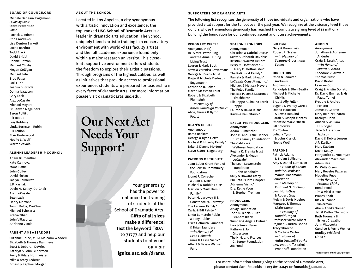#### **BOARD OF COUNCILORS**

Michele Dedeaux Engemann *Founding Chair*  Steve Braverman *Chair* Patrick J. Adams Chris Andrews Lisa Denton Barkett Lorrie Bartlett Todd Black David Bridel Connie Britton Michael Chiklis Megan Colligan Michael Felix Brad Fuller Lori Furie Joshua B. Grode Donna Isaacson Gary Lask Alex LoCasale Michael Meyers Dr. Steven Nagelberg Byron Pollitt Rik Reppe Lois Robbins Linda Bernstein Rubin Rik Toulon Blair Underwood Noelle L. Wolf Warren Zavala

#### **ALUMNI LEADERSHIP COUNCIL**

Adam Blumenthal Kate Cannova Mona Raffle John Coffey David Fickas Jaclyn Kalkhurst J.P. Karliak Devin M. Kelley, Co-Chair Alex LoCasale Sean Lask Henry Martone Tomm Polos, Co-Chair Michael Schwartz Pranav Shah John Villacorta Adrienne Visnic

#### **PARENT AMBASSADORS**

Suzanne Bruce, MD & Malcolm Waddell Elizabeth & Thomas Dammeyer Scott & Deborah DeVries Kathryn & John Gilbertson Perry & Hilary Hoffmeister Mike & Stacy Lederer Ernest & Raphael Morgan

#### **ABOUT THE SCHOOL**

Located in Los Angeles, a city synonymous with artistic innovation and excellence, the top-ranked **USC School of Dramatic Arts** is a leader in dramatic arts education. The School uniquely blends artistic training in a conservatory environment with world-class faculty artists and the full academic experience found only within a major research university. This closeknit, supportive environment offers students the freedom to explore their artistic passions. Through programs of the highest caliber, as well as initiatives that provide access to professional experience, students are prepared for leadership in every facet of dramatic arts. For more information, please visit **dramaticarts.usc.edu**.

# **Our Next Act Needs Your Support!**

Your generosity has the power to enhance the training of students at the School of Dramatic Arts. **Gifts of all sizes make a difference!**  Text the keyword "SDA" to 71777 and help our students to play on! OR VISIT **ignite.usc.edu/drama**

#### **SUPPORTERS OF DRAMATIC ARTS**

The following list recognizes the generosity of those individuals and organizations who have provided vital support for the School over the past year. We recognize at the visionary level those donors whose tremendous generosity has reached the cumulative giving level of \$1 million+, building the foundation for our continued ascent and future achievements.

**VISIONARY CIRCLE** Anonymous\* (2) Dr. & Mrs. Peter Bing

and the Anna H. Bing Living Trust Lauren & Mark Booth\* Steve & Veronica Braverman<sup>\*</sup> George N. Burns Trust Roger & Michele Dedeaux Engemann\* Katherine B. Loker Martin Massman Trust Robert & Elizabeth Plumleigh *—In Memory of Karen Plumleigh Cortney\** Alice, Teresa & Byron Pollitt

#### **DEAN'S CIRCLE**

Anonymous\* Rama Backer\* George & Dyan Getz\* Michael P. Huseby Family\* Brian & Dianne Morton\* Steve & Jerri Nagelberg\*

#### **PATRONS OF TRIBUTE**

Joan Beber Grant Fund of the Jewish Community Foundation Lionel F. Conacher & Joan T. Dea\* Michael & Debbie Felix\* Marilou & Mark Hamill Family\* Peter M. Jarowey II & Constance M. Jarowey\* The Lederer Family\* Carla & Bill Pelster\* Linda Bernstein Rubin & Tony Rubin\* Erika Helmuth Saunders & Brian Saunders *—In Memory of Evan Helmuth*  James & Leslie Visnic\* Albert & Bessie Warner Fund

#### Christine & Gabriel Dassa\* Scott & Deborah DeVries\* Kristin & Warren Geller\* Perry C. Hoffmeister & Hilary C. Hoffmeister\* The Kalkhurst Family\* Pamela & Mark Litvack\* LoCasale Consulting, Inc.\* Michael & Melissa Meyers\* The Polos Family Melissa Posen & Lawrence Hirschhorn\* Rik Reppe & Shauna Torok Reppe Lauren & David Rush\*

**SEASON SPONSORS** Anonymous\*

Karyn & Paul Staubi\* **EXECUTIVE PRODUCERS**

### Anonymous

Adam Blumenthal\* John D. and Leslie Henner Burns Family Foundation\* The California Wellness Foundation Regina K. Eremia Trust Alexander & Megan LoCasale\* The Leon Lowenstein Foundation —John Bendheim Sally & Howard Oxley Phi Beta-Pi Iota Chapter Adrienne Visnic\* Drs. Kellie Yoon & Stephen Treiman

#### **PRODUCERS**

Anonymous Arkay Foundation Todd S. Black & Ruth Graham Black Sumner & Angela Erdman Lori & Simon Furie Kathryn & John Gilbertson The H.N. and Frances C. Berger Foundation JIB Fund

#### Gary & Karen Lask Robert R. Scales —*In Memory of Suzanne Grossmann*

Jeff Kribs

*Scales* **DIRECTORS** Chris & Jennifer Andrews Anonymous Randolph & Ellen Beatty Michael & Michelle Chiklis Brad & Ally Fuller Eugene & Wendy Garcia Donna Isaacson & Lewis Henkind Sarah & Joseph Montes Christine Marie Ofiesh Jill Soloway Rik Toulon

**ANGELS**

Juliana Tyson & John Kissick

## **PATRONS**

Noelle Wolf

Patrick Adams & Troian Bellisario Amy & Daniel Eernissee *—In Honor of Larson Rainier Eernissee* Emanuel Bachmann Foundation —*In Memory of Emanuel O. Bachmann* Lynn Hunt-Gray & Robert Gray Melvin & Doris Hughes Margaret & Thomas Kittle-Kamp *—In Memory of Donald Hagen* Professor Victor Albert Regnier & Judith Gonda Tracy Sbrocco & Michele Carter *—In Honor of Anita Dashiell-Sparks* J.W. Woodruff & Ethel I. Woodruff Foundation

Anonymous Jonathan & Adrienne Anderle Craig & Sarah Antas *—In Honor of Maura L. Antas* Theodore V. Arevalo Thomas Bresn David Bridel Laverne Cox Craig & Kristin Donato Dr. David Emmes & Ms. Paula Tomei Freddie & Andrea Fenster James P. Gearen Mary Beidler Gearen Kathryn Hahn Allison & William Hill-Edgar Jane & Alexander Jackson David & Debra Jensen J.P. Karliak Mary Kasdan Devin Kelley Marguerite E. Maclntyre Alexander Macnicoll Adam Nee Dr. Willa Olsen Mary Reveles Pallares Madeline Puzo *—In Honor of Prakash Shirke* Rondi Reed Tim & Vicki Rutter Pranav Shah Rick & Jeanne Silverman Abe & Annika Somer Jeff & Cathie Thermond Ruth Tuomala & Ernest Cravalho John Villacorta Candice & Perrie Weiner Bradley Whitford Linda Yu

\*Represents multi-year pledge